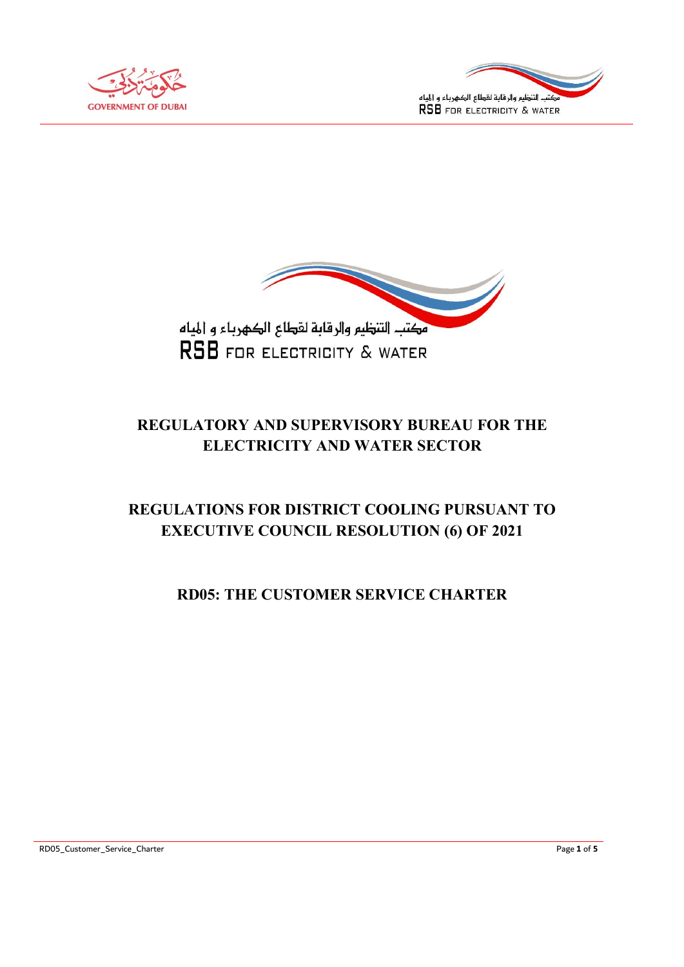





# REGULATORY AND SUPERVISORY BUREAU FOR THE ELECTRICITY AND WATER SECTOR

# REGULATIONS FOR DISTRICT COOLING PURSUANT TO EXECUTIVE COUNCIL RESOLUTION (6) OF 2021

# RD05: THE CUSTOMER SERVICE CHARTER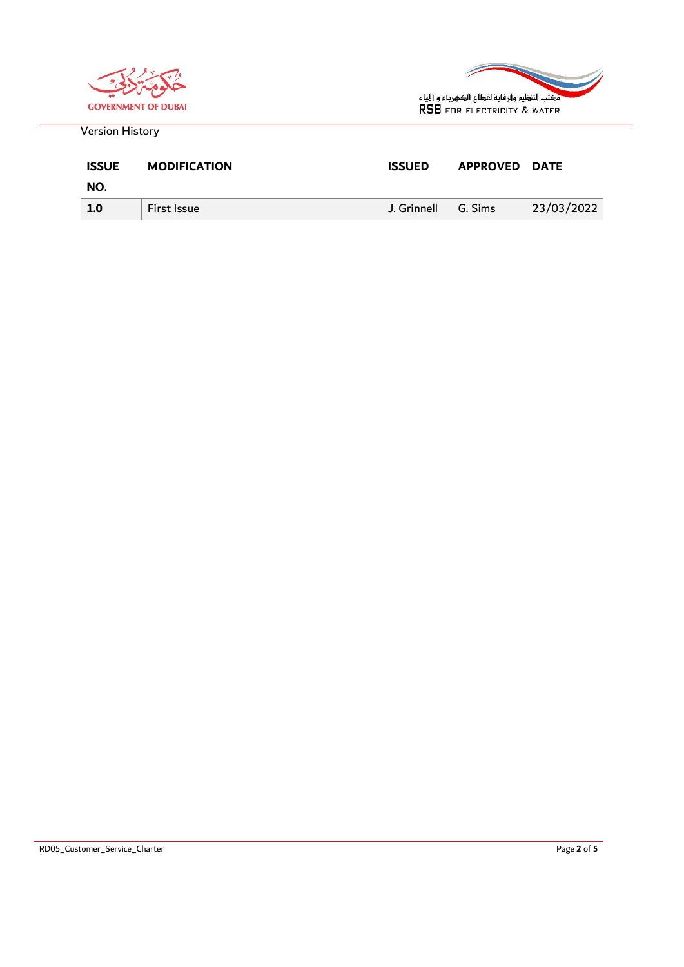



Version History

| <b>ISSUE</b> | <b>MODIFICATION</b> | <b>ISSUED</b> | <b>APPROVED</b> | <b>DATE</b> |
|--------------|---------------------|---------------|-----------------|-------------|
| NO.          |                     |               |                 |             |
| 1.0          | First Issue         | J. Grinnell   | G. Sims         | 23/03/2022  |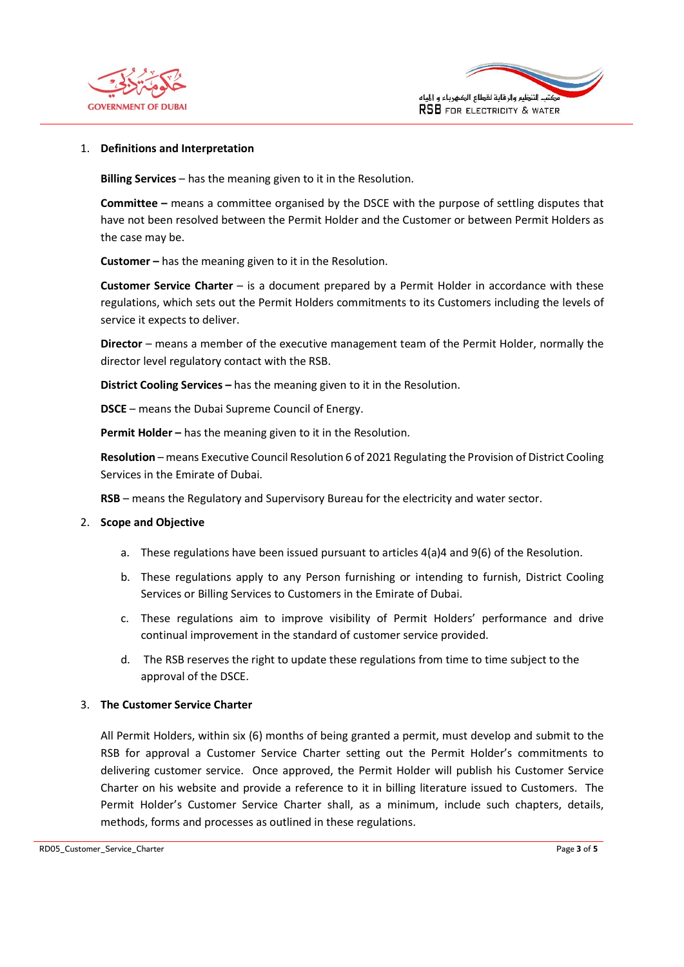



## 1. Definitions and Interpretation

Billing Services – has the meaning given to it in the Resolution.

Committee – means a committee organised by the DSCE with the purpose of settling disputes that have not been resolved between the Permit Holder and the Customer or between Permit Holders as the case may be.

Customer – has the meaning given to it in the Resolution.

Customer Service Charter – is a document prepared by a Permit Holder in accordance with these regulations, which sets out the Permit Holders commitments to its Customers including the levels of service it expects to deliver.

Director – means a member of the executive management team of the Permit Holder, normally the director level regulatory contact with the RSB.

District Cooling Services – has the meaning given to it in the Resolution.

DSCE – means the Dubai Supreme Council of Energy.

Permit Holder – has the meaning given to it in the Resolution.

Resolution – means Executive Council Resolution 6 of 2021 Regulating the Provision of District Cooling Services in the Emirate of Dubai.

RSB – means the Regulatory and Supervisory Bureau for the electricity and water sector.

# 2. Scope and Objective

- a. These regulations have been issued pursuant to articles 4(a)4 and 9(6) of the Resolution.
- b. These regulations apply to any Person furnishing or intending to furnish, District Cooling Services or Billing Services to Customers in the Emirate of Dubai.
- c. These regulations aim to improve visibility of Permit Holders' performance and drive continual improvement in the standard of customer service provided.
- d. The RSB reserves the right to update these regulations from time to time subject to the approval of the DSCE.

### 3. The Customer Service Charter

All Permit Holders, within six (6) months of being granted a permit, must develop and submit to the RSB for approval a Customer Service Charter setting out the Permit Holder's commitments to delivering customer service. Once approved, the Permit Holder will publish his Customer Service Charter on his website and provide a reference to it in billing literature issued to Customers. The Permit Holder's Customer Service Charter shall, as a minimum, include such chapters, details, methods, forms and processes as outlined in these regulations.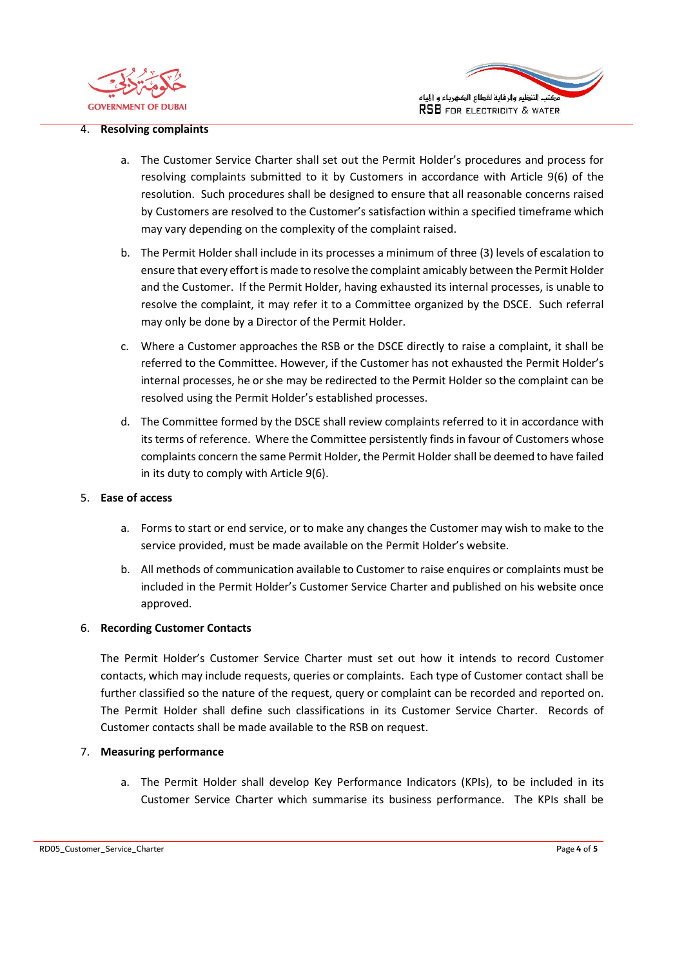



#### 4. Resolving complaints

- a. The Customer Service Charter shall set out the Permit Holder's procedures and process for resolving complaints submitted to it by Customers in accordance with Article 9(6) of the resolution. Such procedures shall be designed to ensure that all reasonable concerns raised by Customers are resolved to the Customer's satisfaction within a specified timeframe which may vary depending on the complexity of the complaint raised.
- b. The Permit Holder shall include in its processes a minimum of three (3) levels of escalation to ensure that every effort is made to resolve the complaint amicably between the Permit Holder and the Customer. If the Permit Holder, having exhausted its internal processes, is unable to resolve the complaint, it may refer it to a Committee organized by the DSCE. Such referral may only be done by a Director of the Permit Holder.
- c. Where a Customer approaches the RSB or the DSCE directly to raise a complaint, it shall be referred to the Committee. However, if the Customer has not exhausted the Permit Holder's internal processes, he or she may be redirected to the Permit Holder so the complaint can be resolved using the Permit Holder's established processes.
- d. The Committee formed by the DSCE shall review complaints referred to it in accordance with its terms of reference. Where the Committee persistently finds in favour of Customers whose complaints concern the same Permit Holder, the Permit Holder shall be deemed to have failed in its duty to comply with Article 9(6).

## 5. Ease of access

- a. Forms to start or end service, or to make any changes the Customer may wish to make to the service provided, must be made available on the Permit Holder's website.
- b. All methods of communication available to Customer to raise enquires or complaints must be included in the Permit Holder's Customer Service Charter and published on his website once approved.

### 6. Recording Customer Contacts

The Permit Holder's Customer Service Charter must set out how it intends to record Customer contacts, which may include requests, queries or complaints. Each type of Customer contact shall be further classified so the nature of the request, query or complaint can be recorded and reported on. The Permit Holder shall define such classifications in its Customer Service Charter. Records of Customer contacts shall be made available to the RSB on request.

### 7. Measuring performance

a. The Permit Holder shall develop Key Performance Indicators (KPIs), to be included in its Customer Service Charter which summarise its business performance. The KPIs shall be